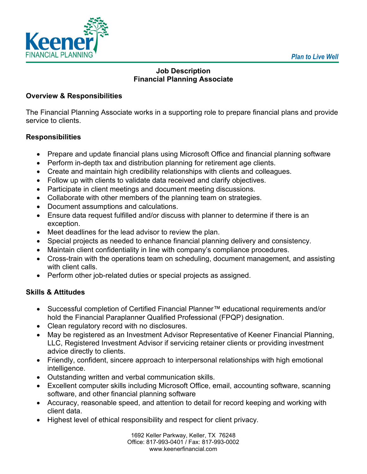

# **Job Description Financial Planning Associate**

## **Overview & Responsibilities**

The Financial Planning Associate works in a supporting role to prepare financial plans and provide service to clients.

# **Responsibilities**

- Prepare and update financial plans using Microsoft Office and financial planning software
- Perform in-depth tax and distribution planning for retirement age clients.
- Create and maintain high credibility relationships with clients and colleagues.
- Follow up with clients to validate data received and clarify objectives.
- Participate in client meetings and document meeting discussions.
- Collaborate with other members of the planning team on strategies.
- Document assumptions and calculations.
- Ensure data request fulfilled and/or discuss with planner to determine if there is an exception.
- Meet deadlines for the lead advisor to review the plan.
- Special projects as needed to enhance financial planning delivery and consistency.
- Maintain client confidentiality in line with company's compliance procedures.
- Cross-train with the operations team on scheduling, document management, and assisting with client calls.
- Perform other job-related duties or special projects as assigned.

# **Skills & Attitudes**

- Successful completion of Certified Financial Planner™ educational requirements and/or hold the Financial Paraplanner Qualified Professional (FPQP) designation.
- Clean regulatory record with no disclosures.
- May be registered as an Investment Advisor Representative of Keener Financial Planning, LLC, Registered Investment Advisor if servicing retainer clients or providing investment advice directly to clients.
- Friendly, confident, sincere approach to interpersonal relationships with high emotional intelligence.
- Outstanding written and verbal communication skills.
- Excellent computer skills including Microsoft Office, email, accounting software, scanning software, and other financial planning software
- Accuracy, reasonable speed, and attention to detail for record keeping and working with client data.
- Highest level of ethical responsibility and respect for client privacy.